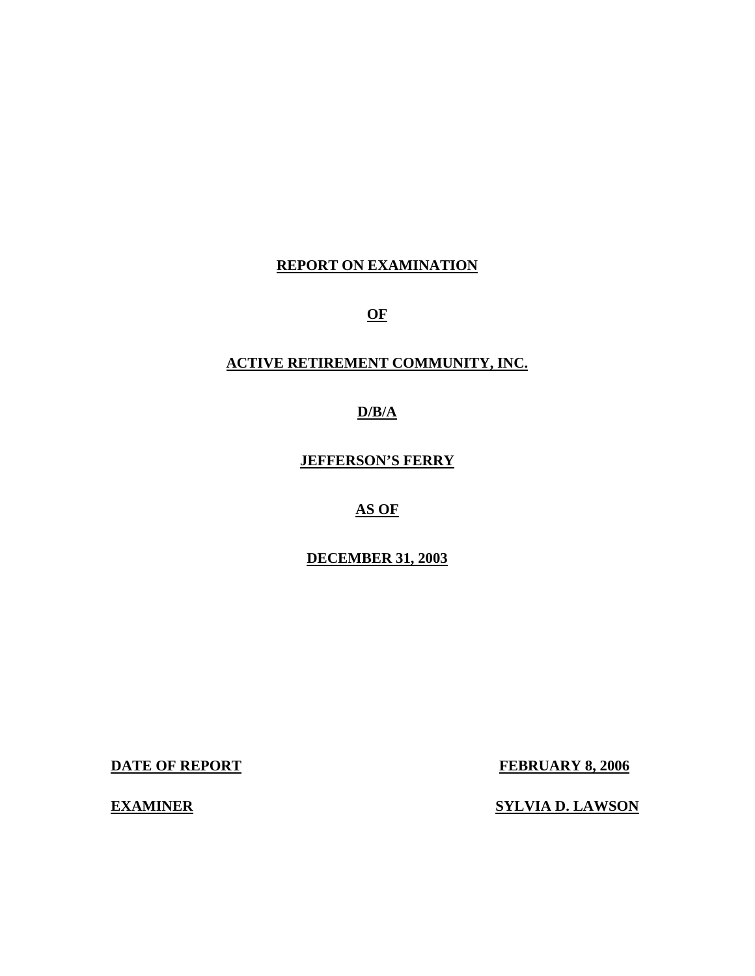### **REPORT ON EXAMINATION**

**OF** 

### **ACTIVE RETIREMENT COMMUNITY, INC.**

**D/B/A** 

**JEFFERSON'S FERRY** 

**AS OF** 

**DECEMBER 31, 2003** 

**DATE OF REPORT** 

**FEBRUARY 8, 2006** 

**EXAMINER** 

**<u>SYLVIA D. LAWSON</u>**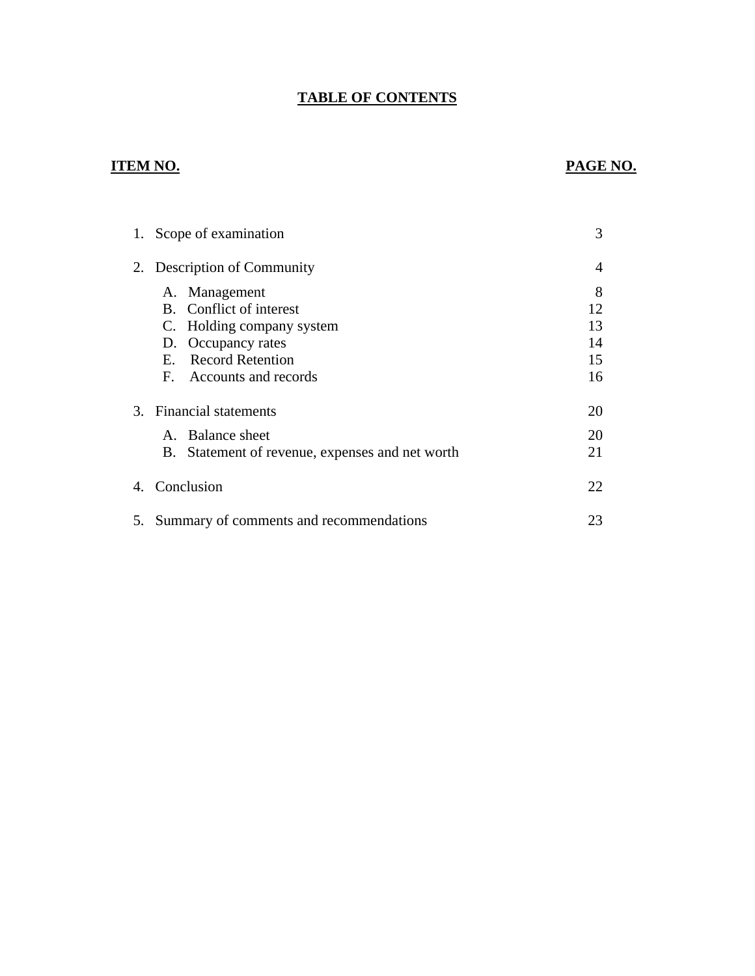## **TABLE OF CONTENTS**

## **ITEM NO.**

## **PAGE NO.**

| 1. Scope of examination                            | 3  |
|----------------------------------------------------|----|
| 2. Description of Community                        | 4  |
| A. Management                                      | 8  |
| B. Conflict of interest                            | 12 |
| C. Holding company system                          | 13 |
| D. Occupancy rates                                 | 14 |
| <b>Record Retention</b><br>Е.                      | 15 |
| F. Accounts and records                            | 16 |
| 3. Financial statements                            | 20 |
| A. Balance sheet                                   | 20 |
| Statement of revenue, expenses and net worth<br>B. | 21 |
| 4. Conclusion                                      | 22 |
| 5. Summary of comments and recommendations         | 23 |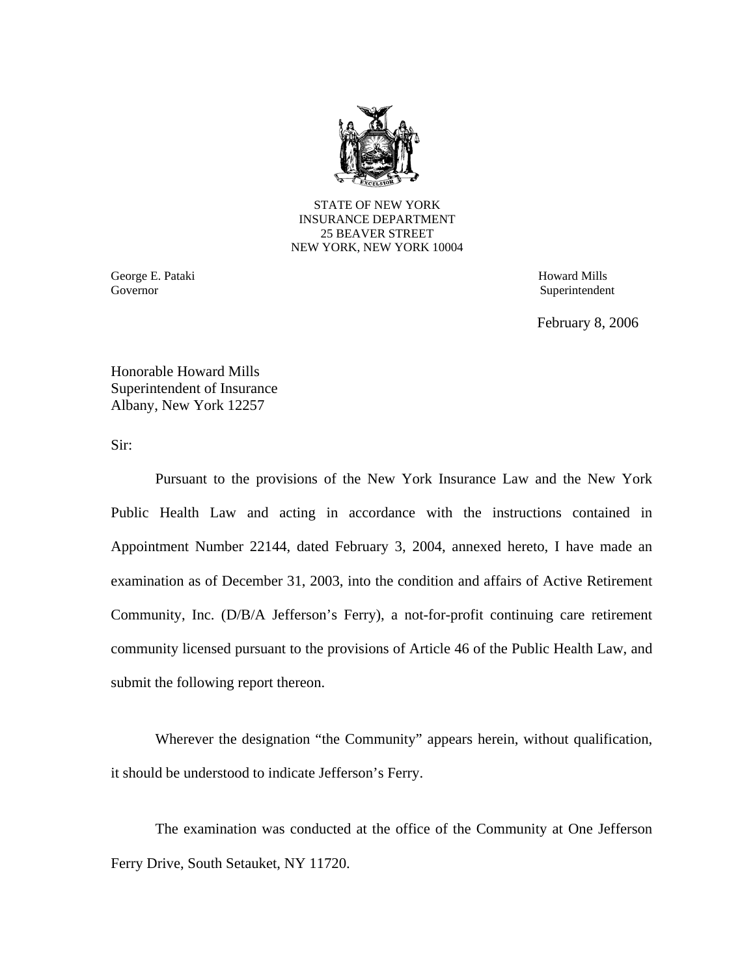

STATE OF NEW YORK INSURANCE DEPARTMENT 25 BEAVER STREET NEW YORK, NEW YORK 10004

 George E. Pataki Governor

 Howard Mills Superintendent

February 8, 2006

Honorable Howard Mills Superintendent of Insurance Albany, New York 12257

Sir:

Pursuant to the provisions of the New York Insurance Law and the New York Public Health Law and acting in accordance with the instructions contained in Appointment Number 22144, dated February 3, 2004, annexed hereto, I have made an examination as of December 31, 2003, into the condition and affairs of Active Retirement Community, Inc. (D/B/A Jefferson's Ferry), a not-for-profit continuing care retirement community licensed pursuant to the provisions of Article 46 of the Public Health Law, and submit the following report thereon.

Wherever the designation "the Community" appears herein, without qualification, it should be understood to indicate Jefferson's Ferry.

The examination was conducted at the office of the Community at One Jefferson Ferry Drive, South Setauket, NY 11720.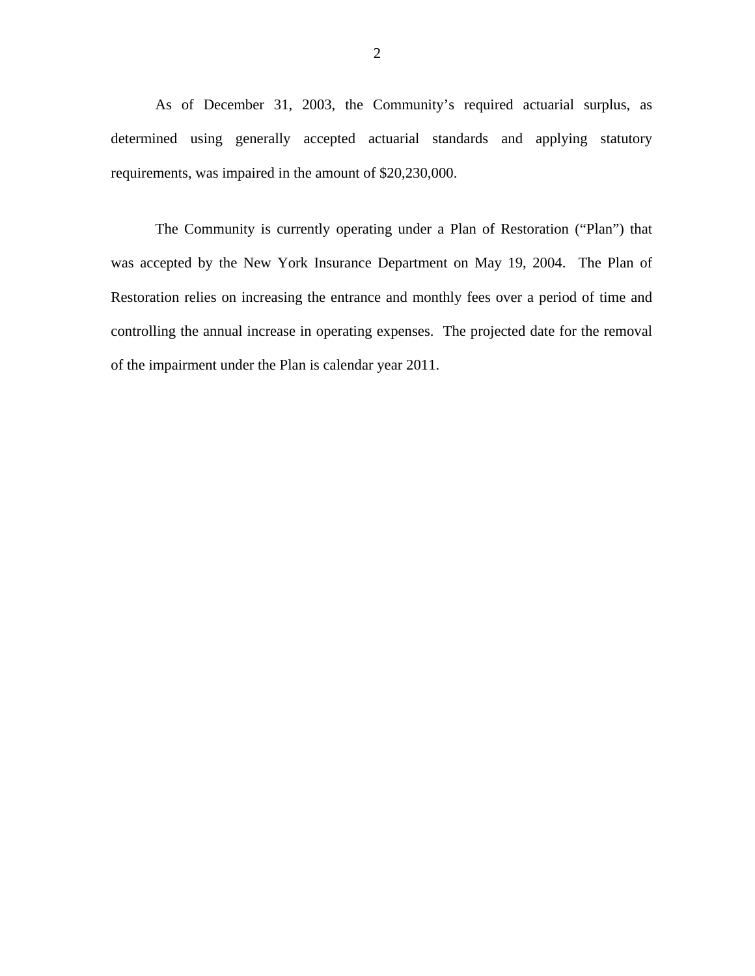requirements, was impaired in the amount of \$20,230,000. As of December 31, 2003, the Community's required actuarial surplus, as determined using generally accepted actuarial standards and applying statutory

The Community is currently operating under a Plan of Restoration ("Plan") that was accepted by the New York Insurance Department on May 19, 2004. The Plan of Restoration relies on increasing the entrance and monthly fees over a period of time and controlling the annual increase in operating expenses. The projected date for the removal of the impairment under the Plan is calendar year 2011.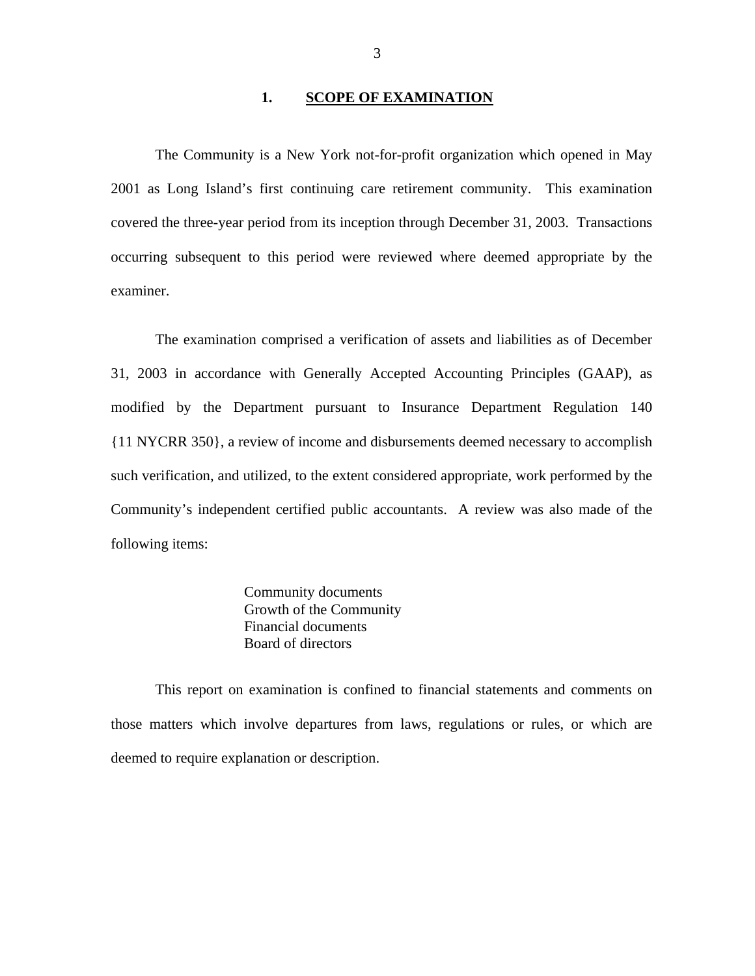#### 1. **SCOPE OF EXAMINATION**

<span id="page-4-0"></span>The Community is a New York not-for-profit organization which opened in May 2001 as Long Island's first continuing care retirement community. This examination covered the three-year period from its inception through December 31, 2003. Transactions occurring subsequent to this period were reviewed where deemed appropriate by the examiner.

The examination comprised a verification of assets and liabilities as of December 31, 2003 in accordance with Generally Accepted Accounting Principles (GAAP), as modified by the Department pursuant to Insurance Department Regulation 140 {11 NYCRR 350}, a review of income and disbursements deemed necessary to accomplish such verification, and utilized, to the extent considered appropriate, work performed by the Community's independent certified public accountants. A review was also made of the following items:

> Community documents Growth of the Community Financial documents Board of directors

This report on examination is confined to financial statements and comments on those matters which involve departures from laws, regulations or rules, or which are deemed to require explanation or description.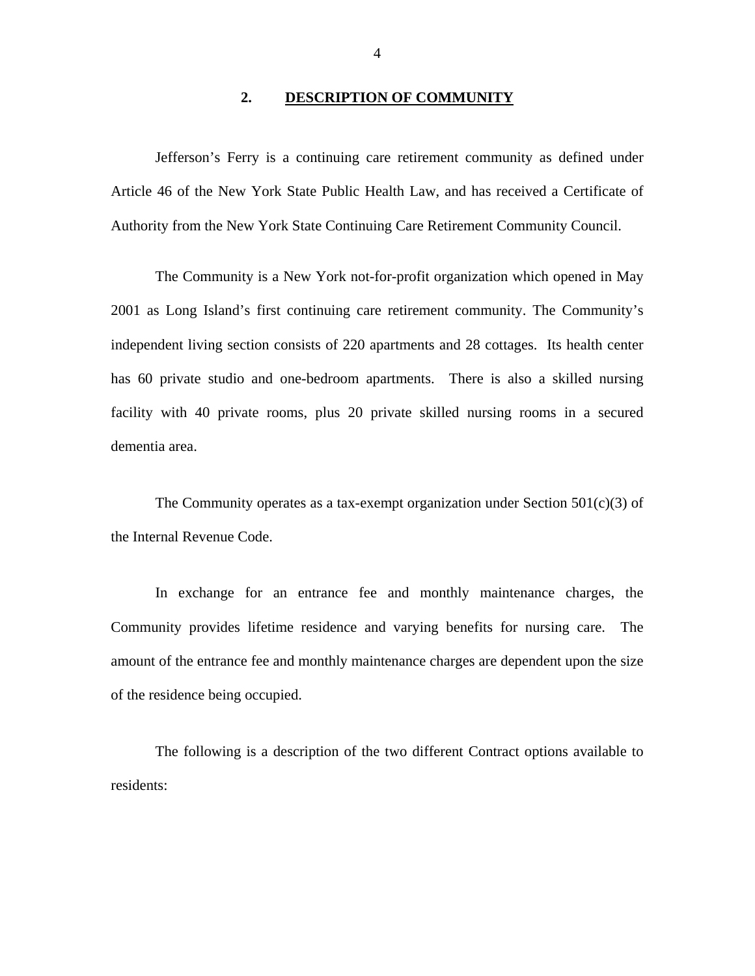#### **2. DESCRIPTION OF COMMUNITY**

<span id="page-5-0"></span>Jefferson's Ferry is a continuing care retirement community as defined under Article 46 of the New York State Public Health Law, and has received a Certificate of Authority from the New York State Continuing Care Retirement Community Council.

The Community is a New York not-for-profit organization which opened in May 2001 as Long Island's first continuing care retirement community. The Community's independent living section consists of 220 apartments and 28 cottages. Its health center has 60 private studio and one-bedroom apartments. There is also a skilled nursing facility with 40 private rooms, plus 20 private skilled nursing rooms in a secured dementia area.

The Community operates as a tax-exempt organization under Section  $501(c)(3)$  of the Internal Revenue Code.

In exchange for an entrance fee and monthly maintenance charges, the Community provides lifetime residence and varying benefits for nursing care. The amount of the entrance fee and monthly maintenance charges are dependent upon the size of the residence being occupied.

The following is a description of the two different Contract options available to residents:

4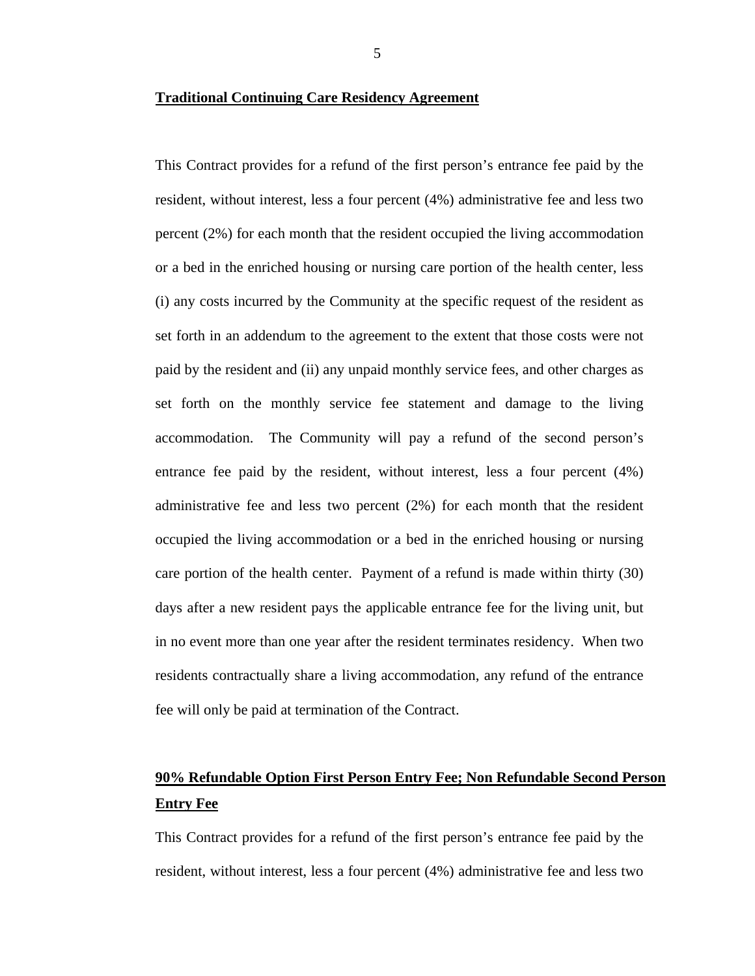This Contract provides for a refund of the first person's entrance fee paid by the resident, without interest, less a four percent (4%) administrative fee and less two percent (2%) for each month that the resident occupied the living accommodation or a bed in the enriched housing or nursing care portion of the health center, less (i) any costs incurred by the Community at the specific request of the resident as set forth in an addendum to the agreement to the extent that those costs were not paid by the resident and (ii) any unpaid monthly service fees, and other charges as set forth on the monthly service fee statement and damage to the living accommodation. The Community will pay a refund of the second person's entrance fee paid by the resident, without interest, less a four percent (4%) administrative fee and less two percent (2%) for each month that the resident occupied the living accommodation or a bed in the enriched housing or nursing care portion of the health center. Payment of a refund is made within thirty (30) days after a new resident pays the applicable entrance fee for the living unit, but in no event more than one year after the resident terminates residency. When two residents contractually share a living accommodation, any refund of the entrance fee will only be paid at termination of the Contract.

## **90% Refundable Option First Person Entry Fee; Non Refundable Second Person Entry Fee**

This Contract provides for a refund of the first person's entrance fee paid by the resident, without interest, less a four percent (4%) administrative fee and less two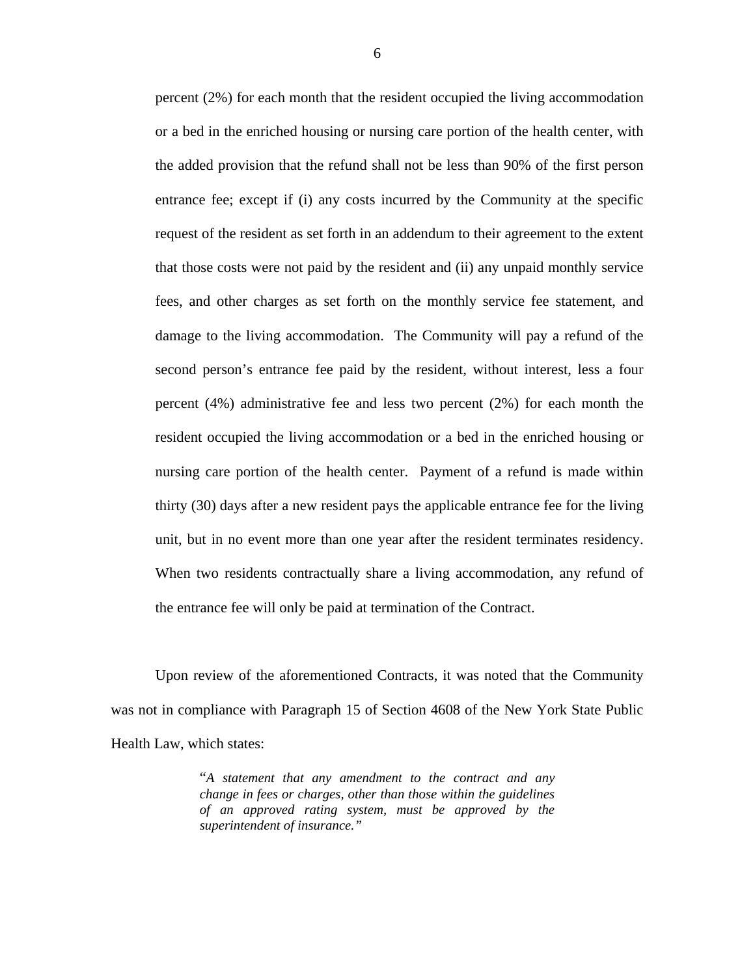percent (2%) for each month that the resident occupied the living accommodation or a bed in the enriched housing or nursing care portion of the health center, with the added provision that the refund shall not be less than 90% of the first person entrance fee; except if (i) any costs incurred by the Community at the specific request of the resident as set forth in an addendum to their agreement to the extent that those costs were not paid by the resident and (ii) any unpaid monthly service fees, and other charges as set forth on the monthly service fee statement, and damage to the living accommodation. The Community will pay a refund of the second person's entrance fee paid by the resident, without interest, less a four percent (4%) administrative fee and less two percent (2%) for each month the resident occupied the living accommodation or a bed in the enriched housing or nursing care portion of the health center. Payment of a refund is made within thirty (30) days after a new resident pays the applicable entrance fee for the living unit, but in no event more than one year after the resident terminates residency. When two residents contractually share a living accommodation, any refund of the entrance fee will only be paid at termination of the Contract.

Upon review of the aforementioned Contracts, it was noted that the Community was not in compliance with Paragraph 15 of Section 4608 of the New York State Public Health Law, which states:

> "*A statement that any amendment to the contract and any change in fees or charges, other than those within the guidelines of an approved rating system, must be approved by the superintendent of insurance."*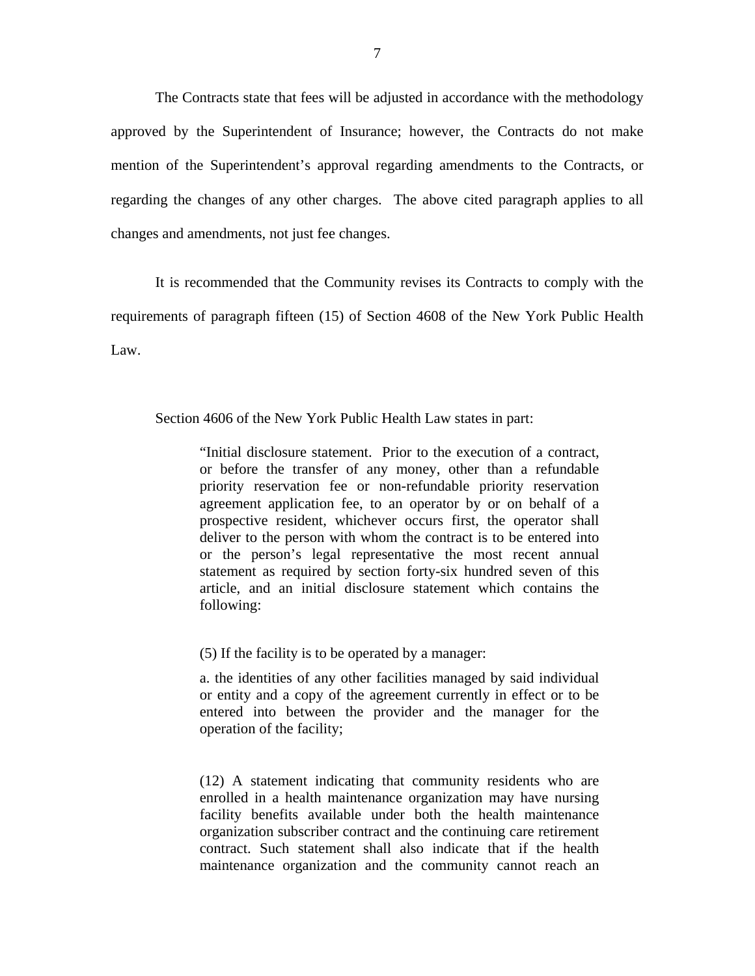The Contracts state that fees will be adjusted in accordance with the methodology approved by the Superintendent of Insurance; however, the Contracts do not make mention of the Superintendent's approval regarding amendments to the Contracts, or regarding the changes of any other charges. The above cited paragraph applies to all changes and amendments, not just fee changes.

It is recommended that the Community revises its Contracts to comply with the requirements of paragraph fifteen (15) of Section 4608 of the New York Public Health Law.

Section 4606 of the New York Public Health Law states in part:

"Initial disclosure statement. Prior to the execution of a contract, or before the transfer of any money, other than a refundable priority reservation fee or non-refundable priority reservation agreement application fee, to an operator by or on behalf of a prospective resident, whichever occurs first, the operator shall deliver to the person with whom the contract is to be entered into or the person's legal representative the most recent annual statement as required by section forty-six hundred seven of this article, and an initial disclosure statement which contains the following:

(5) If the facility is to be operated by a manager:

a. the identities of any other facilities managed by said individual or entity and a copy of the agreement currently in effect or to be entered into between the provider and the manager for the operation of the facility;

(12) A statement indicating that community residents who are enrolled in a health maintenance organization may have nursing facility benefits available under both the health maintenance organization subscriber contract and the continuing care retirement contract. Such statement shall also indicate that if the health maintenance organization and the community cannot reach an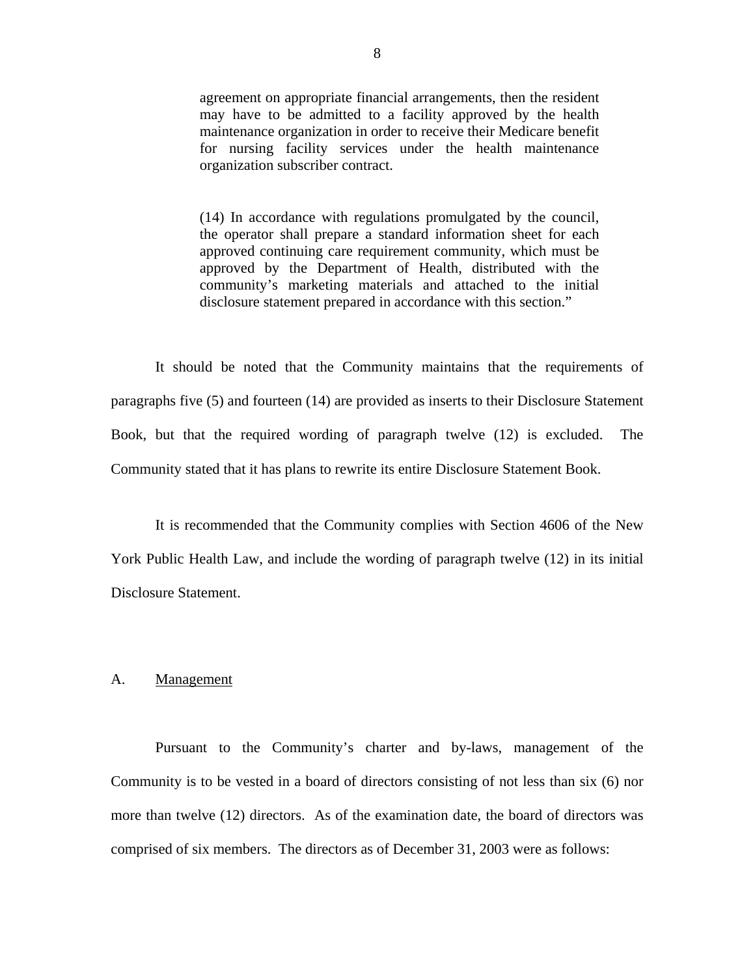<span id="page-9-0"></span>agreement on appropriate financial arrangements, then the resident may have to be admitted to a facility approved by the health maintenance organization in order to receive their Medicare benefit for nursing facility services under the health maintenance organization subscriber contract.

(14) In accordance with regulations promulgated by the council, the operator shall prepare a standard information sheet for each approved continuing care requirement community, which must be approved by the Department of Health, distributed with the community's marketing materials and attached to the initial disclosure statement prepared in accordance with this section."

It should be noted that the Community maintains that the requirements of paragraphs five (5) and fourteen (14) are provided as inserts to their Disclosure Statement Book, but that the required wording of paragraph twelve (12) is excluded. The Community stated that it has plans to rewrite its entire Disclosure Statement Book.

It is recommended that the Community complies with Section 4606 of the New York Public Health Law, and include the wording of paragraph twelve (12) in its initial Disclosure Statement.

#### Management

A. <u>Management</u><br>Pursuant to the Community's charter and by-laws, management of the Community is to be vested in a board of directors consisting of not less than six (6) nor more than twelve (12) directors. As of the examination date, the board of directors was comprised of six members. The directors as of December 31, 2003 were as follows: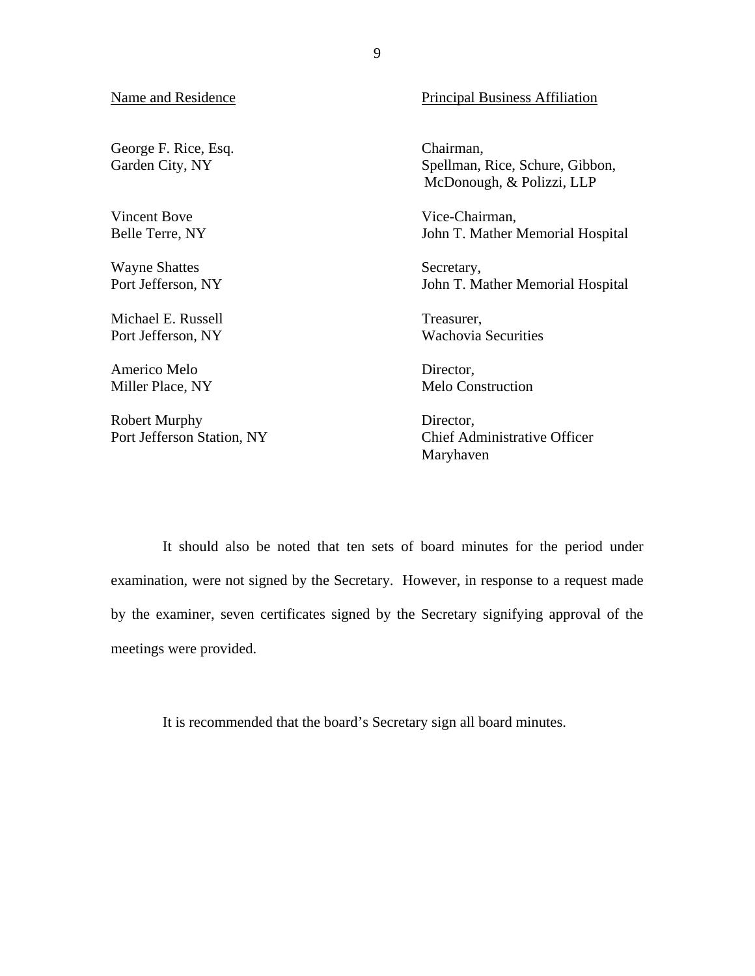George F. Rice, Esq. Chairman,

Vincent Bove Vice-Chairman,

Wayne Shattes Secretary,

Michael E. Russell Treasurer,

Americo Melo Director,

Port Jefferson Station, NY Robert Murphy Director,

Name and Residence Principal Business Affiliation

Garden City, NY Spellman, Rice, Schure, Gibbon, McDonough, & Polizzi, LLP

Belle Terre, NY John T. Mather Memorial Hospital

Port Jefferson, NY John T. Mather Memorial Hospital

Port Jefferson, NY Wachovia Securities

Miller Place, NY Melo Construction

Chief Administrative Officer Maryhaven

It should also be noted that ten sets of board minutes for the period under examination, were not signed by the Secretary. However, in response to a request made by the examiner, seven certificates signed by the Secretary signifying approval of the meetings were provided.

It is recommended that the board's Secretary sign all board minutes.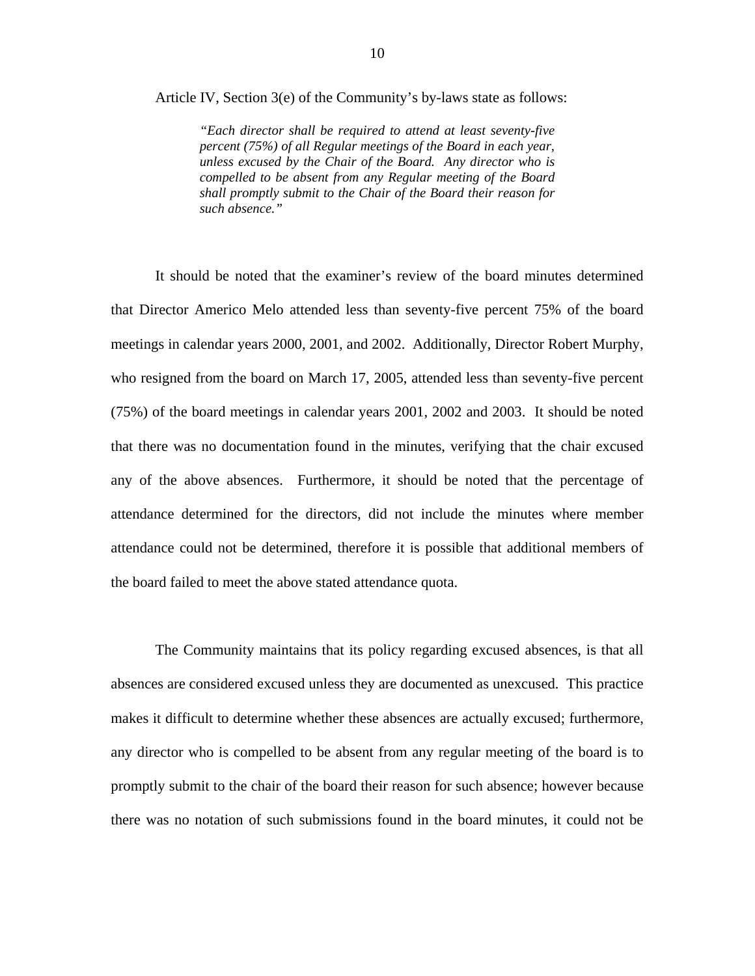Article IV, Section 3(e) of the Community's by-laws state as follows:

*"Each director shall be required to attend at least seventy-five percent (75%) of all Regular meetings of the Board in each year, unless excused by the Chair of the Board. Any director who is compelled to be absent from any Regular meeting of the Board shall promptly submit to the Chair of the Board their reason for such absence."* 

It should be noted that the examiner's review of the board minutes determined that Director Americo Melo attended less than seventy-five percent 75% of the board meetings in calendar years 2000, 2001, and 2002. Additionally, Director Robert Murphy, who resigned from the board on March 17, 2005, attended less than seventy-five percent (75%) of the board meetings in calendar years 2001, 2002 and 2003. It should be noted that there was no documentation found in the minutes, verifying that the chair excused any of the above absences. Furthermore, it should be noted that the percentage of attendance determined for the directors, did not include the minutes where member attendance could not be determined, therefore it is possible that additional members of the board failed to meet the above stated attendance quota.

The Community maintains that its policy regarding excused absences, is that all absences are considered excused unless they are documented as unexcused. This practice makes it difficult to determine whether these absences are actually excused; furthermore, any director who is compelled to be absent from any regular meeting of the board is to promptly submit to the chair of the board their reason for such absence; however because there was no notation of such submissions found in the board minutes, it could not be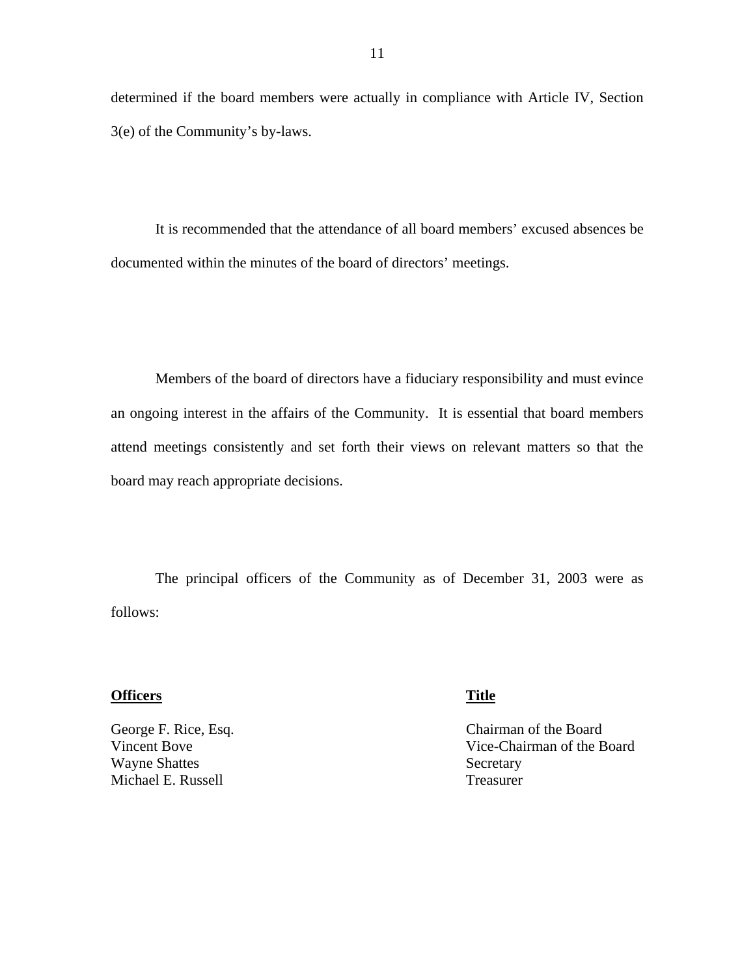determined if the board members were actually in compliance with Article IV, Section 3(e) of the Community's by-laws.

It is recommended that the attendance of all board members' excused absences be documented within the minutes of the board of directors' meetings.

Members of the board of directors have a fiduciary responsibility and must evince an ongoing interest in the affairs of the Community. It is essential that board members attend meetings consistently and set forth their views on relevant matters so that the board may reach appropriate decisions.

The principal officers of the Community as of December 31, 2003 were as follows:

#### **Officers** Title

George F. Rice, Esq. Vincent Bove Wayne Shattes Michael E. Russell

Chairman of the Board Vice-Chairman of the Board Secretary Treasurer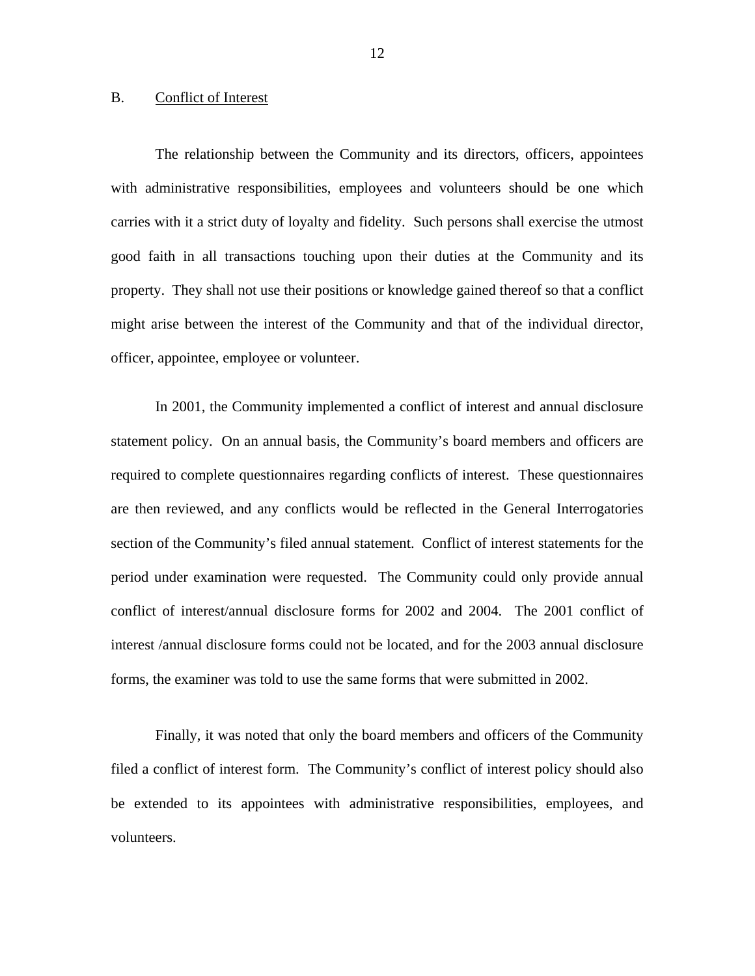#### <span id="page-13-0"></span>B. Conflict of Interest

The relationship between the Community and its directors, officers, appointees with administrative responsibilities, employees and volunteers should be one which carries with it a strict duty of loyalty and fidelity. Such persons shall exercise the utmost good faith in all transactions touching upon their duties at the Community and its property. They shall not use their positions or knowledge gained thereof so that a conflict might arise between the interest of the Community and that of the individual director, officer, appointee, employee or volunteer.

In 2001, the Community implemented a conflict of interest and annual disclosure statement policy. On an annual basis, the Community's board members and officers are required to complete questionnaires regarding conflicts of interest. These questionnaires are then reviewed, and any conflicts would be reflected in the General Interrogatories section of the Community's filed annual statement. Conflict of interest statements for the period under examination were requested. The Community could only provide annual conflict of interest/annual disclosure forms for 2002 and 2004. The 2001 conflict of interest /annual disclosure forms could not be located, and for the 2003 annual disclosure forms, the examiner was told to use the same forms that were submitted in 2002.

Finally, it was noted that only the board members and officers of the Community filed a conflict of interest form. The Community's conflict of interest policy should also be extended to its appointees with administrative responsibilities, employees, and volunteers.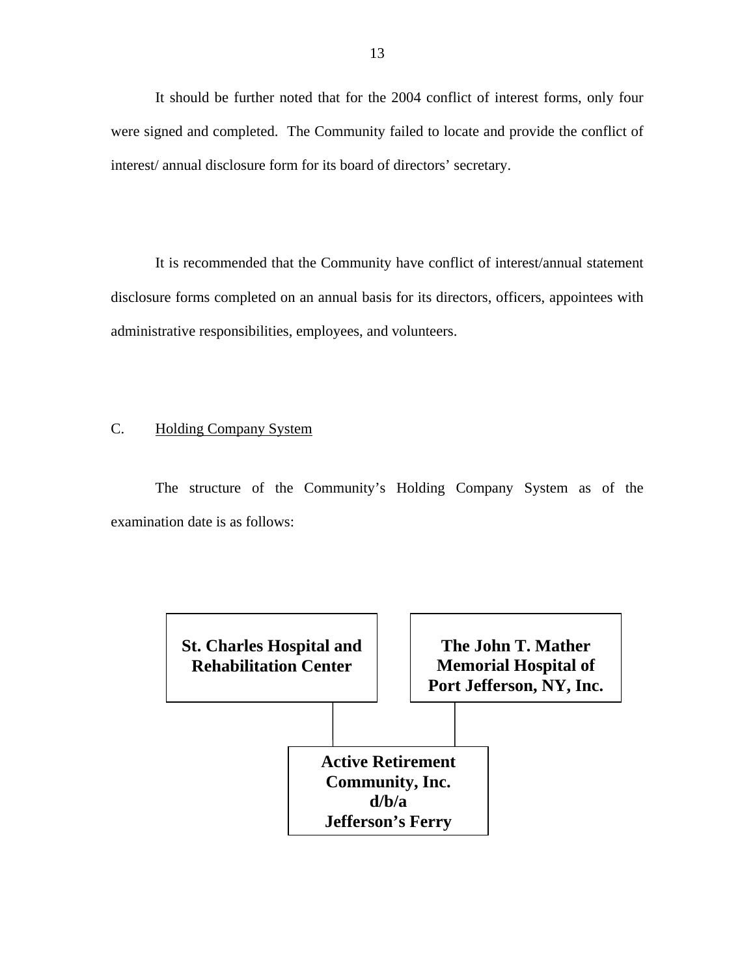<span id="page-14-0"></span>It should be further noted that for the 2004 conflict of interest forms, only four were signed and completed. The Community failed to locate and provide the conflict of interest/ annual disclosure form for its board of directors' secretary.

It is recommended that the Community have conflict of interest/annual statement disclosure forms completed on an annual basis for its directors, officers, appointees with administrative responsibilities, employees, and volunteers.

#### C. Holding Company System

The structure of the Community's Holding Company System as of the examination date is as follows:

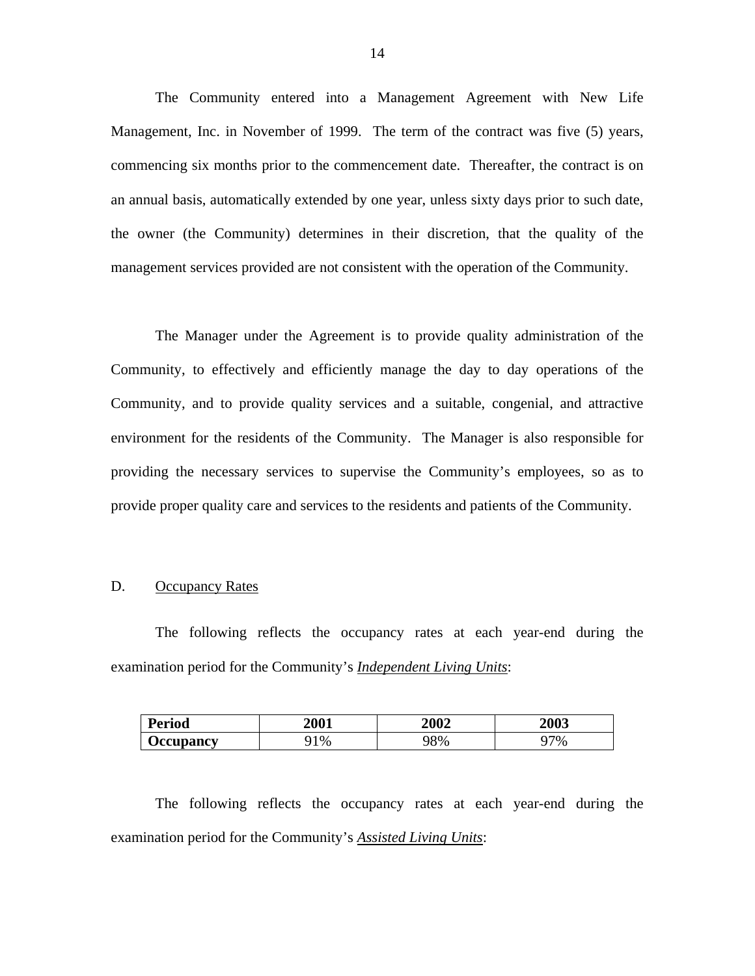The Community entered into a Management Agreement with New Life Management, Inc. in November of 1999. The term of the contract was five (5) years, commencing six months prior to the commencement date. Thereafter, the contract is on an annual basis, automatically extended by one year, unless sixty days prior to such date, the owner (the Community) determines in their discretion, that the quality of the management services provided are not consistent with the operation of the Community.

The Manager under the Agreement is to provide quality administration of the Community, to effectively and efficiently manage the day to day operations of the Community, and to provide quality services and a suitable, congenial, and attractive environment for the residents of the Community. The Manager is also responsible for providing the necessary services to supervise the Community's employees, so as to provide proper quality care and services to the residents and patients of the Community.

#### D. Occupancy Rates

The following reflects the occupancy rates at each year-end during the examination period for the Community's *Independent Living Units*:

| <b>Period</b>                  | 2001  | 2002  | <b>2003</b> |
|--------------------------------|-------|-------|-------------|
| <b><i><u>Occupancy</u></i></b> | $1\%$ | $8\%$ | 77%<br>∽    |

The following reflects the occupancy rates at each year-end during the examination period for the Community's *Assisted Living Units*: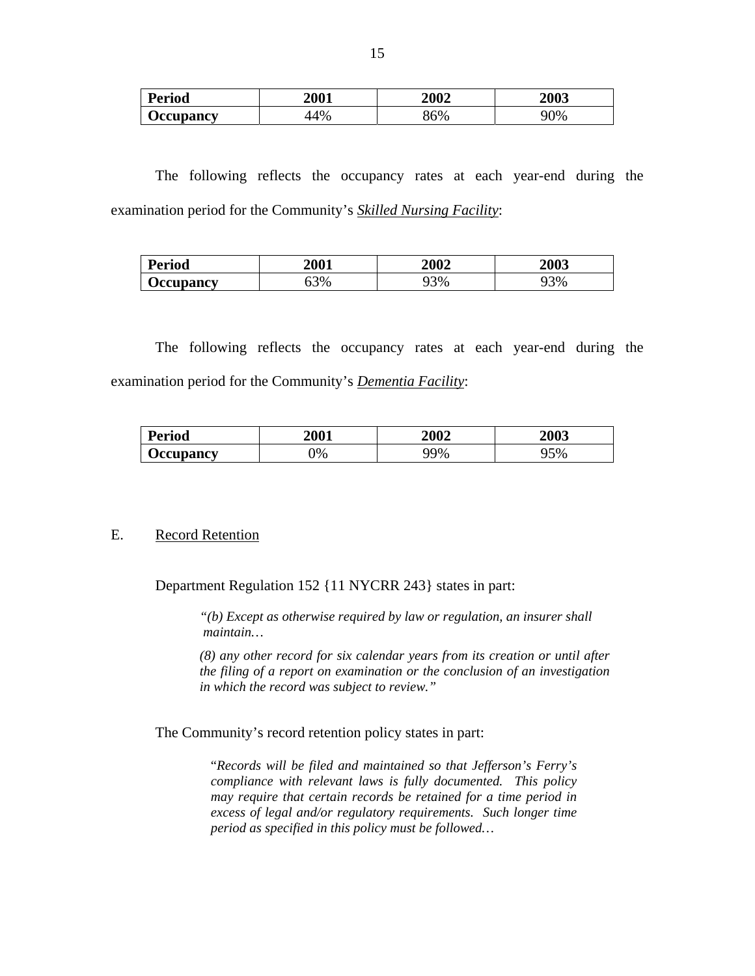| <b>Period</b>                 | <b>2001</b> | <b>2002</b> | <b>2003</b> |
|-------------------------------|-------------|-------------|-------------|
| <b><i><u>Ceupancy</u></i></b> | 44%         | 36%         | 90%         |

The following reflects the occupancy rates at each year-end during the examination period for the Community's *Skilled Nursing Facility*:

| <b>Period</b>                  | 2001     | 2002 | <b>2003</b> |
|--------------------------------|----------|------|-------------|
| <b><i><u>Decupancy</u></i></b> | 3%<br>JJ | 3%   | 93%         |

The following reflects the occupancy rates at each year-end during the examination period for the Community's *Dementia Facility*:

| <b>Period</b>    | 2001          | 2002 | <b>2003</b> |
|------------------|---------------|------|-------------|
| <b>Occupancy</b> | $\frac{1}{2}$ | 79%  | 5%          |

#### E. Record Retention

Department Regulation 152 {11 NYCRR 243} states in part:

*"(b) Except as otherwise required by law or regulation, an insurer shall maintain…* 

*(8) any other record for six calendar years from its creation or until after the filing of a report on examination or the conclusion of an investigation in which the record was subject to review."* 

The Community's record retention policy states in part:

"*Records will be filed and maintained so that Jefferson's Ferry's compliance with relevant laws is fully documented. This policy may require that certain records be retained for a time period in excess of legal and/or regulatory requirements. Such longer time period as specified in this policy must be followed…*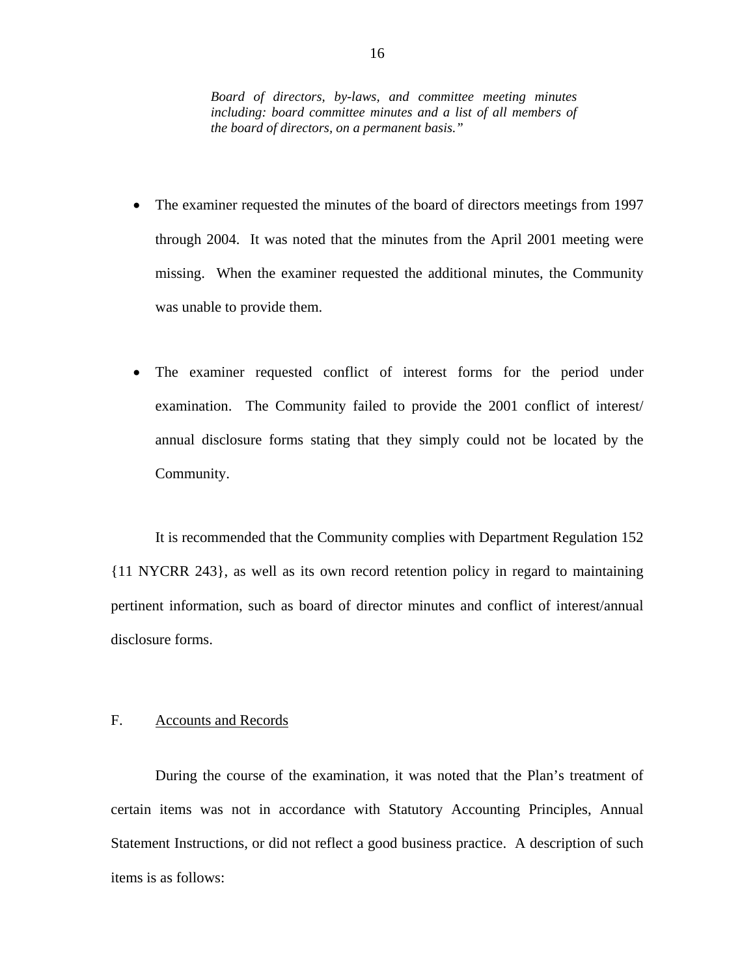<span id="page-17-0"></span>*Board of directors, by-laws, and committee meeting minutes including: board committee minutes and a list of all members of the board of directors, on a permanent basis."* 

- The examiner requested the minutes of the board of directors meetings from 1997 through 2004. It was noted that the minutes from the April 2001 meeting were missing. When the examiner requested the additional minutes, the Community was unable to provide them.
- The examiner requested conflict of interest forms for the period under examination. The Community failed to provide the 2001 conflict of interest/ annual disclosure forms stating that they simply could not be located by the Community.

It is recommended that the Community complies with Department Regulation 152 {11 NYCRR 243}, as well as its own record retention policy in regard to maintaining pertinent information, such as board of director minutes and conflict of interest/annual disclosure forms.

#### F. Accounts and Records

During the course of the examination, it was noted that the Plan's treatment of certain items was not in accordance with Statutory Accounting Principles, Annual Statement Instructions, or did not reflect a good business practice. A description of such items is as follows: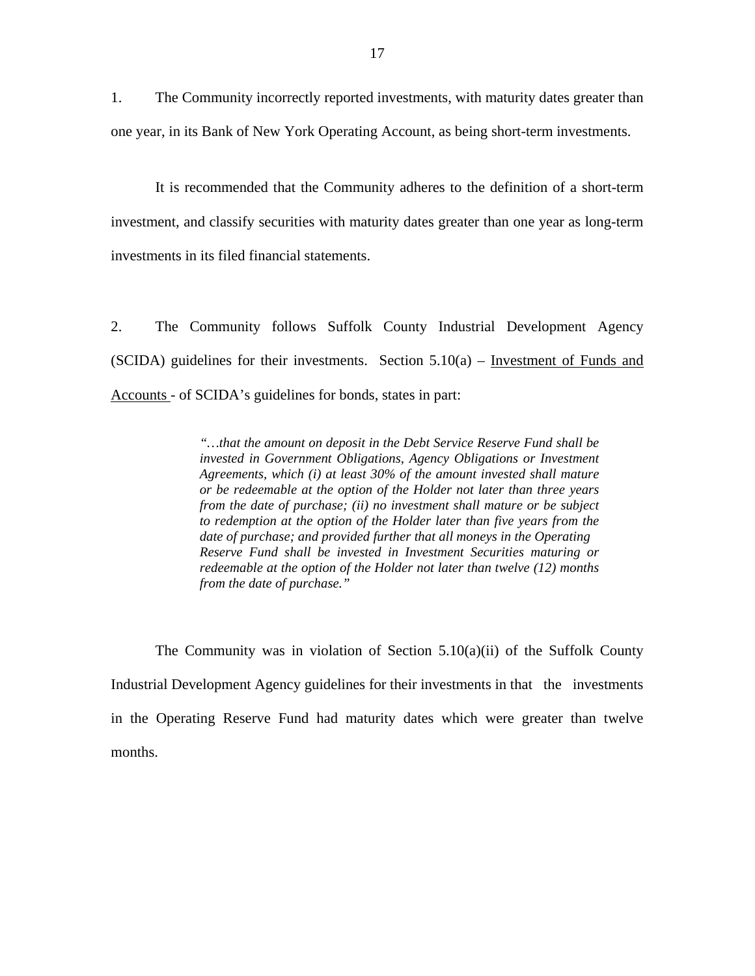1. The Community incorrectly reported investments, with maturity dates greater than one year, in its Bank of New York Operating Account, as being short-term investments.

It is recommended that the Community adheres to the definition of a short-term investment, and classify securities with maturity dates greater than one year as long-term investments in its filed financial statements.

2. The Community follows Suffolk County Industrial Development Agency (SCIDA) guidelines for their investments. Section  $5.10(a)$  – Investment of Funds and Accounts - of SCIDA's guidelines for bonds, states in part:

> *"…that the amount on deposit in the Debt Service Reserve Fund shall be invested in Government Obligations, Agency Obligations or Investment Agreements, which (i) at least 30% of the amount invested shall mature or be redeemable at the option of the Holder not later than three years from the date of purchase; (ii) no investment shall mature or be subject to redemption at the option of the Holder later than five years from the date of purchase; and provided further that all moneys in the Operating Reserve Fund shall be invested in Investment Securities maturing or redeemable at the option of the Holder not later than twelve (12) months from the date of purchase."*

The Community was in violation of Section  $5.10(a)(ii)$  of the Suffolk County Industrial Development Agency guidelines for their investments in that the investments in the Operating Reserve Fund had maturity dates which were greater than twelve months.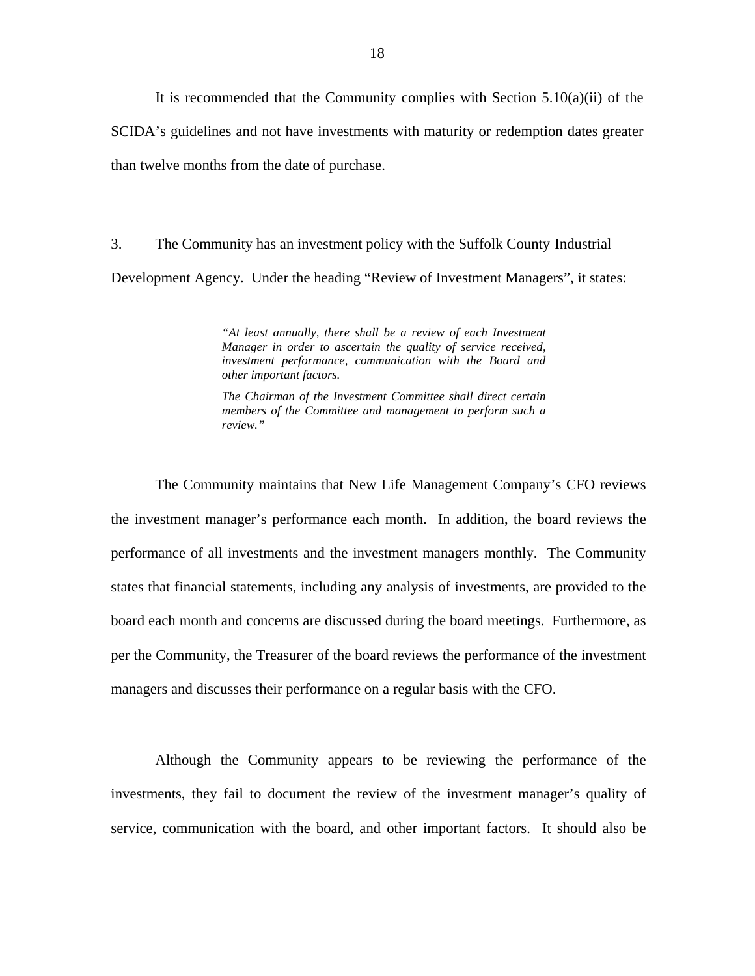It is recommended that the Community complies with Section  $5.10(a)(ii)$  of the SCIDA's guidelines and not have investments with maturity or redemption dates greater than twelve months from the date of purchase.

3. The Community has an investment policy with the Suffolk County Industrial Development Agency. Under the heading "Review of Investment Managers", it states:

> *"At least annually, there shall be a review of each Investment Manager in order to ascertain the quality of service received, investment performance, communication with the Board and other important factors.*

> *The Chairman of the Investment Committee shall direct certain members of the Committee and management to perform such a review."*

The Community maintains that New Life Management Company's CFO reviews the investment manager's performance each month. In addition, the board reviews the performance of all investments and the investment managers monthly. The Community states that financial statements, including any analysis of investments, are provided to the board each month and concerns are discussed during the board meetings. Furthermore, as per the Community, the Treasurer of the board reviews the performance of the investment managers and discusses their performance on a regular basis with the CFO.

Although the Community appears to be reviewing the performance of the investments, they fail to document the review of the investment manager's quality of service, communication with the board, and other important factors. It should also be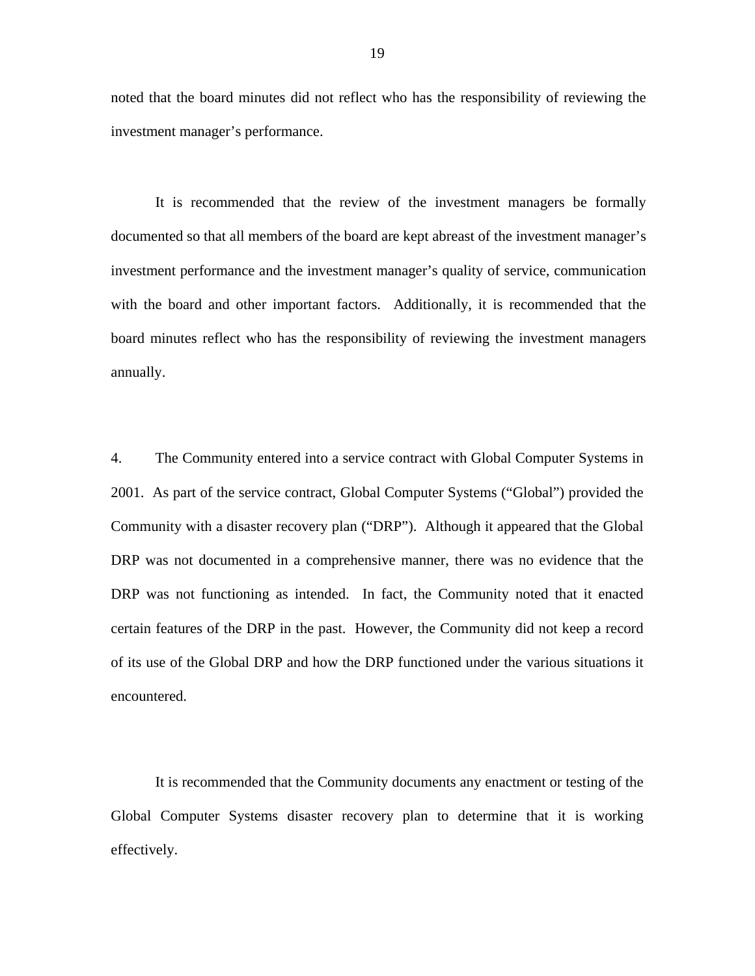noted that the board minutes did not reflect who has the responsibility of reviewing the investment manager's performance.

It is recommended that the review of the investment managers be formally documented so that all members of the board are kept abreast of the investment manager's investment performance and the investment manager's quality of service, communication with the board and other important factors. Additionally, it is recommended that the board minutes reflect who has the responsibility of reviewing the investment managers annually.

4. The Community entered into a service contract with Global Computer Systems in 2001. As part of the service contract, Global Computer Systems ("Global") provided the Community with a disaster recovery plan ("DRP"). Although it appeared that the Global DRP was not documented in a comprehensive manner, there was no evidence that the DRP was not functioning as intended. In fact, the Community noted that it enacted certain features of the DRP in the past. However, the Community did not keep a record of its use of the Global DRP and how the DRP functioned under the various situations it encountered.

It is recommended that the Community documents any enactment or testing of the Global Computer Systems disaster recovery plan to determine that it is working effectively.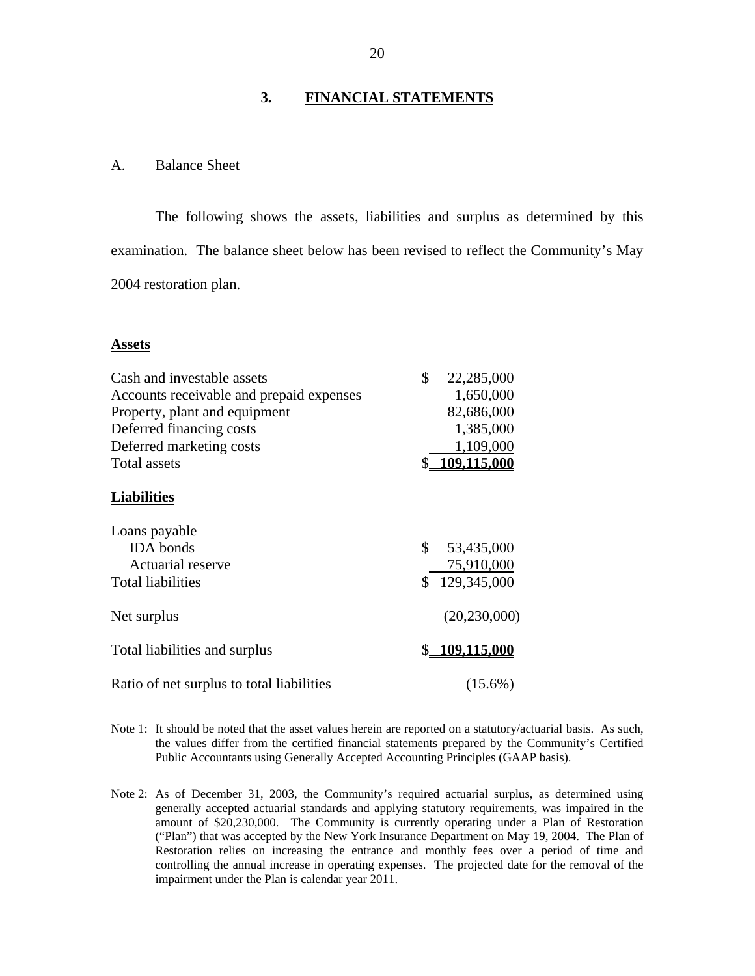#### **3. FINANCIAL STATEMENTS**

#### A. Balance Sheet

The following shows the assets, liabilities and surplus as determined by this examination. The balance sheet below has been revised to reflect the Community's May 2004 restoration plan.

#### **Assets**

| Cash and investable assets                | \$<br>22,285,000      |
|-------------------------------------------|-----------------------|
| Accounts receivable and prepaid expenses  | 1,650,000             |
| Property, plant and equipment             | 82,686,000            |
| Deferred financing costs                  | 1,385,000             |
| Deferred marketing costs                  | 1,109,000             |
| Total assets                              | \$109.115.000         |
| <b>Liabilities</b>                        |                       |
| Loans payable                             |                       |
| <b>IDA</b> bonds                          | \$<br>53,435,000      |
| Actuarial reserve                         | 75,910,000            |
| <b>Total liabilities</b>                  | \$129,345,000         |
| Net surplus                               | (20, 230, 000)        |
| Total liabilities and surplus             | \$ <u>109,115,000</u> |
| Ratio of net surplus to total liabilities | $(15.6\%)$            |

 Note 1: It should be noted that the asset values herein are reported on a statutory/actuarial basis. As such, the values differ from the certified financial statements prepared by the Community's Certified Public Accountants using Generally Accepted Accounting Principles (GAAP basis).

 ("Plan") that was accepted by the New York Insurance Department on May 19, 2004. The Plan of Restoration relies on increasing the entrance and monthly fees over a period of time and Note 2: As of December 31, 2003, the Community's required actuarial surplus, as determined using generally accepted actuarial standards and applying statutory requirements, was impaired in the amount of \$20,230,000. The Community is currently operating under a Plan of Restoration controlling the annual increase in operating expenses. The projected date for the removal of the impairment under the Plan is calendar year 2011.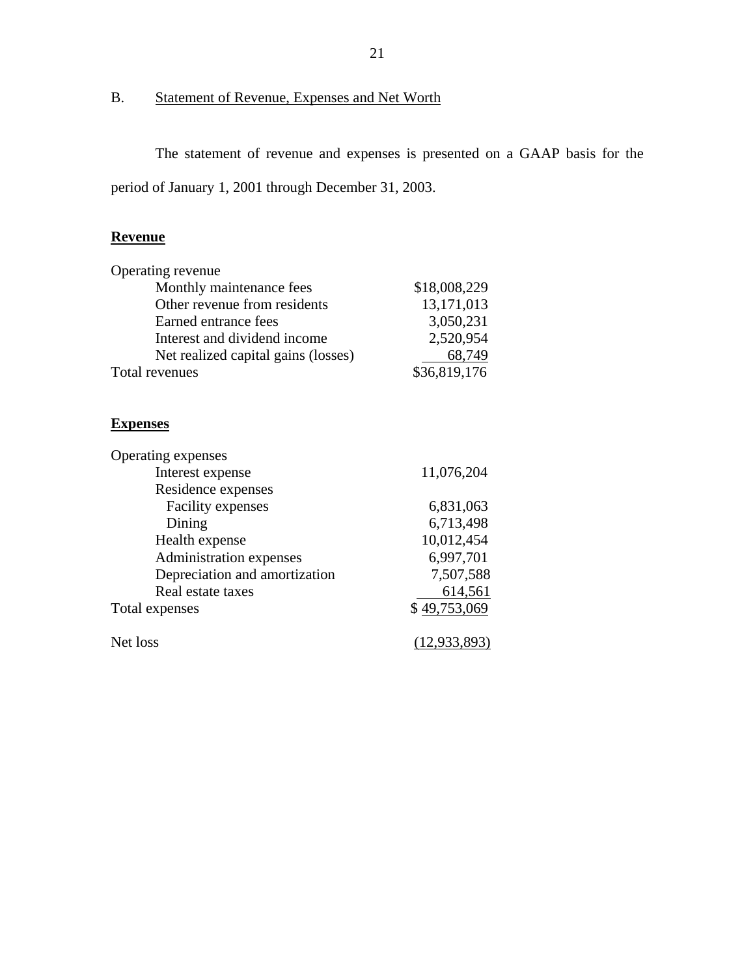## <span id="page-22-0"></span>B. Statement of Revenue, Expenses and Net Worth

The statement of revenue and expenses is presented on a GAAP basis for the period of January 1, 2001 through December 31, 2003.

#### **Revenue**

| \$18,008,229 |
|--------------|
| 13,171,013   |
| 3,050,231    |
| 2,520,954    |
| 68,749       |
| \$36,819,176 |
|              |

#### **Expenses**

| Operating expenses            |                |
|-------------------------------|----------------|
| Interest expense              | 11,076,204     |
| Residence expenses            |                |
| Facility expenses             | 6,831,063      |
| Dining                        | 6,713,498      |
| Health expense                | 10,012,454     |
| Administration expenses       | 6,997,701      |
| Depreciation and amortization | 7,507,588      |
| Real estate taxes             | 614,561        |
| Total expenses                | \$49,753,069   |
| Net loss                      | (12, 933, 893) |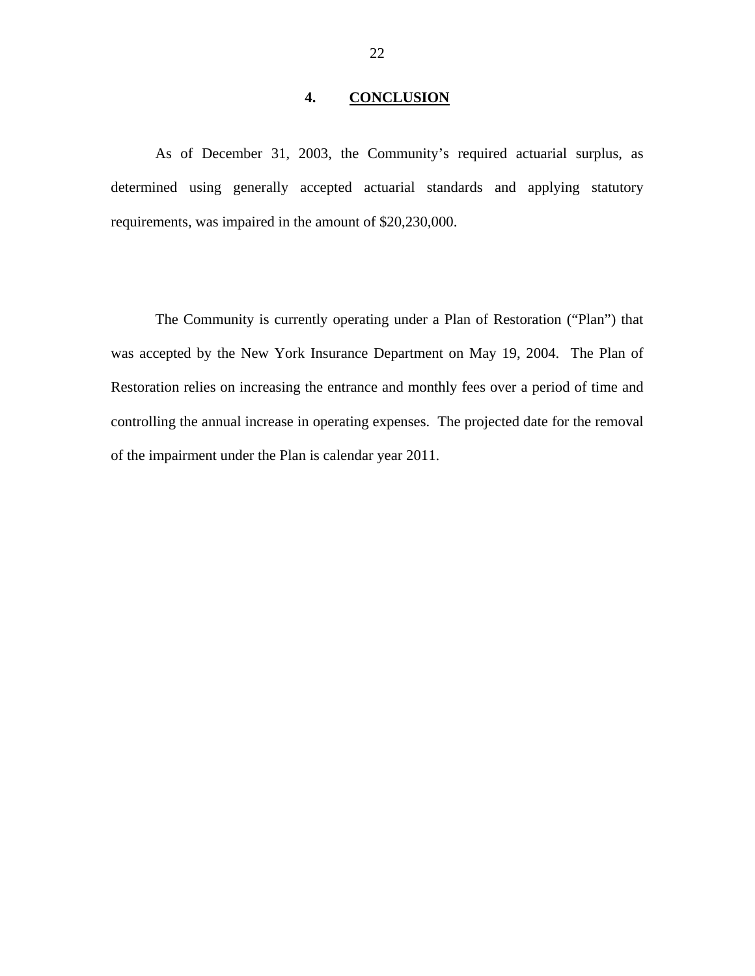#### **4. CONCLUSION**

<span id="page-23-0"></span>As of December 31, 2003, the Community's required actuarial surplus, as determined using generally accepted actuarial standards and applying statutory requirements, was impaired in the amount of \$20,230,000.

The Community is currently operating under a Plan of Restoration ("Plan") that was accepted by the New York Insurance Department on May 19, 2004. The Plan of Restoration relies on increasing the entrance and monthly fees over a period of time and controlling the annual increase in operating expenses. The projected date for the removal of the impairment under the Plan is calendar year 2011.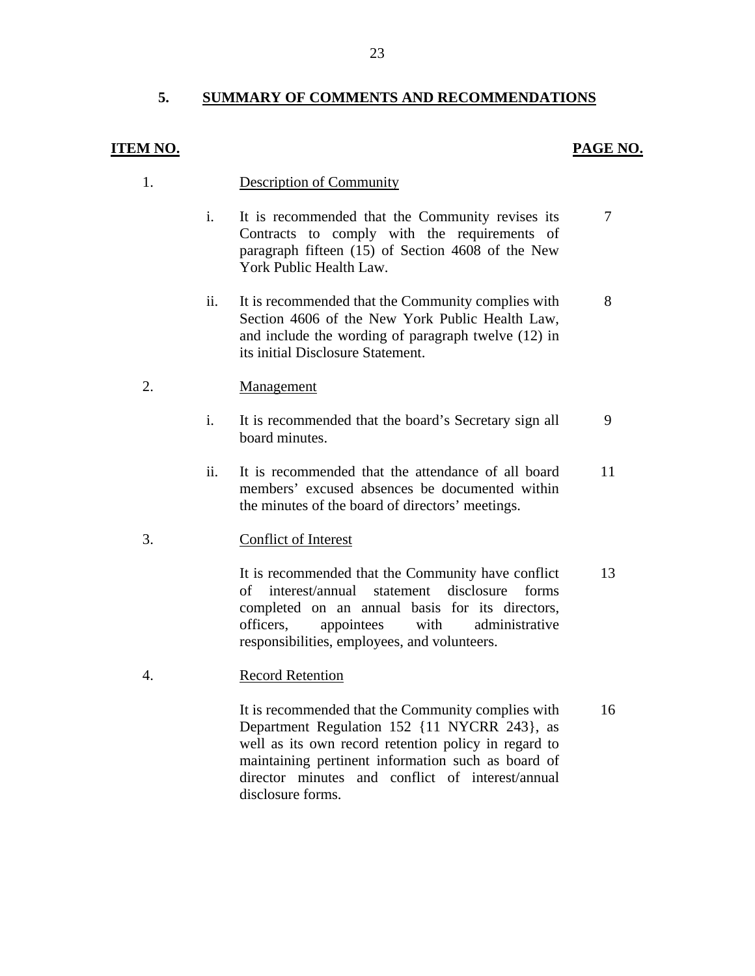#### **5. SUMMARY OF COMMENTS AND RECOMMENDATIONS**

#### **ITEM NO.**

#### **PAGE NO.**

- **Description of Community** 1.
	- i. It is recommended that the Community revises its Contracts to comply with the requirements of paragraph fifteen (15) of Section 4608 of the New York Public Health Law. 7
	- ii. It is recommended that the Community complies with Section 4606 of the New York Public Health Law, and include the wording of paragraph twelve (12) in its initial Disclosure Statement. 8

#### Management 2.

- i. It is recommended that the board's Secretary sign all board minutes. 9
- ii. It is recommended that the attendance of all board members' excused absences be documented within the minutes of the board of directors' meetings. 11

#### **Conflict of Interest** 3.

It is recommended that the Community have conflict of interest/annual statement disclosure forms completed on an annual basis for its directors, officers, appointees with administrative responsibilities, employees, and volunteers. 13

#### **Record Retention** 4.

It is recommended that the Community complies with Department Regulation 152 {11 NYCRR 243}, as well as its own record retention policy in regard to maintaining pertinent information such as board of director minutes and conflict of interest/annual disclosure forms. 16

23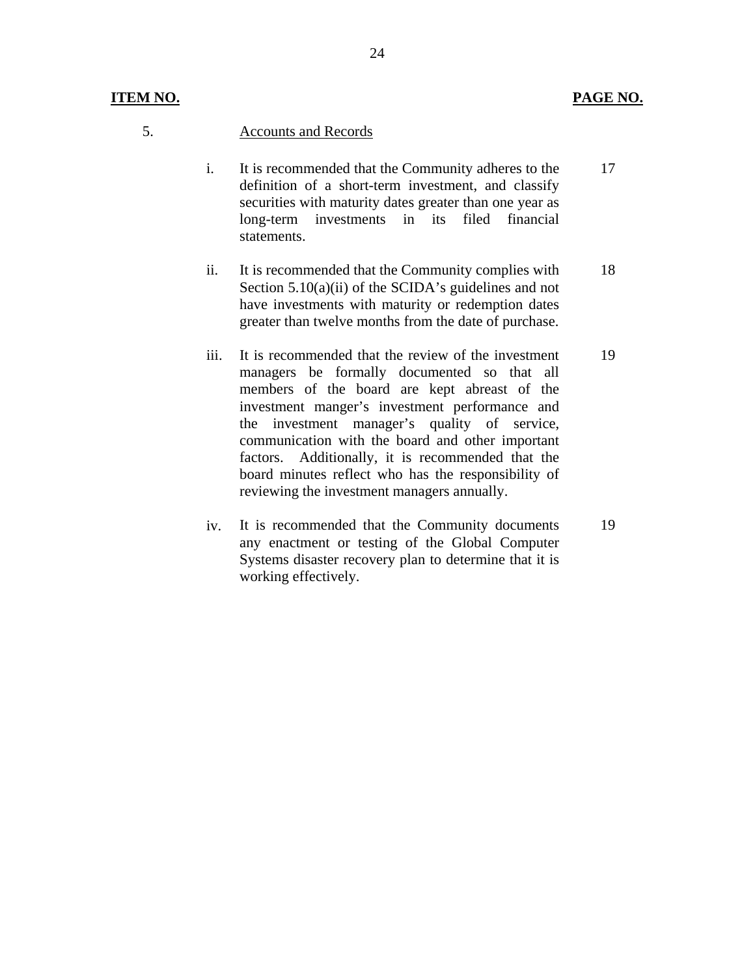- 5. Accounts and Records
	- i. It is recommended that the Community adheres to the definition of a short-term investment, and classify securities with maturity dates greater than one year as long-term investments in its filed financial statements. 17
	- ii. It is recommended that the Community complies with Section 5.10(a)(ii) of the SCIDA's guidelines and not have investments with maturity or redemption dates greater than twelve months from the date of purchase. 18
	- iii. It is recommended that the review of the investment managers be formally documented so that all members of the board are kept abreast of the investment manger's investment performance and the investment manager's quality of service, communication with the board and other important factors. Additionally, it is recommended that the board minutes reflect who has the responsibility of reviewing the investment managers annually. 19
	- iv. It is recommended that the Community documents any enactment or testing of the Global Computer Systems disaster recovery plan to determine that it is working effectively. 19

24